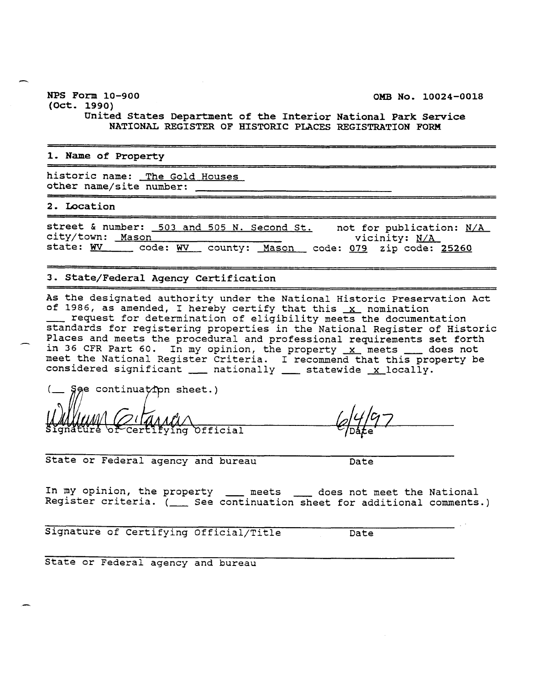(OC~. **1990)** 

## NPS Form **10-900** OMB No. **10024-0018**

United States Department of the Interior National Park Service NATIONAL REGISTER OF **HISTORIC** PLACES REGISTRATION **FORM** 

## 1. Name of Property

historic name: The Gold Houses other name/site number:

### **2.** Location

street & number: **503** and **505** N. Second St. not for publication: N/A city/town: <u>Mason and Sandard Massers and Sandard Marchief</u> state: WV code: WV county: Mason code: 079 zip code: 25260

## 3. State/Federal Agency Certification

As the designated authority under the National Historic Preservation Act As the designated authority under the National Historic Preserva<br>
of 1986, as amended, I hereby certify that this <u>x</u> nomination<br>
request for determination of eligibility meets the documents 3. State/Federal Agency Certification<br>As the designated authority under the National Historic Preservation A<br>of 1986, as amended, I hereby certify that this X nomination<br>request for determination of eligibility meets the d standards for registering properties in the National Register of Historic Places and meets the procedural and professional requirements set forth of 1986, as amended, I hereby certify that this <u>x</u> nomination<br>
<u>In request</u> for determination of eligibility meets the documentation<br>
standards for registering properties in the National Register of Histor<br>
Places and mee meet the National Register Criteria. I recommend that this property be considered significant  $\frac{1}{\sqrt{2}}$  nationally  $\frac{1}{\sqrt{2}}$  statewide  $\frac{x}{\sqrt{2}}$  locally.<br>( $\frac{5}{2}$  see continuat/pn sheet.)

State or Federal agency and bureau Date

tifying Official

Batte or Federal agency and bureau and the mate of the National part of the National Comments.<br>In my opinion, the property and meets are does not meet the National comments.)

Signature of Certifying Official/Title The Date

State or Federal agency and bureau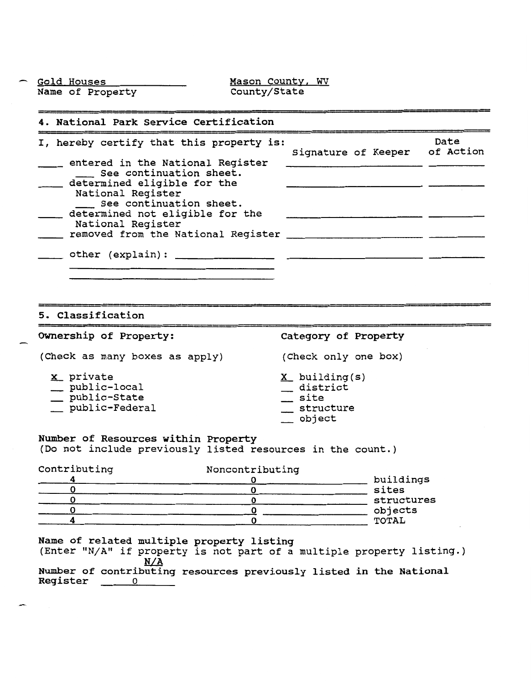Gold Houses Name of Property Mason County, **WV**  County/State

# 4. National Park Service Certification<br>
I, hereby certify that this property is<br>
- entered in the National Register<br>
- See continuation sheet.<br>
- determined eligible for the **4.** National Park Service Certification I, hereby certify that this property is: The mode of the Date Signature of Keeper of Action - See continuation sheet. See continuation sheet.<br>
determined eligible for the National Register determined not eligible for the National Register removed from the National Register other (explain) :

**5.** Classification

Ownership of Property: Category of Property (Check as many boxes as apply) **x** private heck as many boxe<br><u>x</u> private<br>-- public-State<br>-- public-State <u>x</u> private<br>\_ public-local<br>\_ public-Federal \_\_ public-State<br>\_\_ public-Federal (Check only one box)<br>X building(s) (Check only o<br><u>X</u> building(s<br>- district<br>- site X\_ build:<br>\_\_ distr:<br>\_\_ site<br>\_\_ struct X\_ building(s)<br>\_\_ district<br>\_\_ site<br>\_\_ structure<br>object \_\_ district<br>\_\_ site<br>\_\_ structul<br>\_\_ object Number of Resources within Property (Do not include previously listed resources in the count.) Contributing Noncontributing **4 0** buildings<br>0 buildings<br>sites 0 sites  $\begin{array}{c}\n 0 \ \hline\n 0 \ \hline\n 0 \end{array}$  structures<br>  $\begin{array}{c}\n 0 \ \hline\n 0 \end{array}$  objects 0 0 objects **4** 0 TOTAL

Name of related multiple property listing (Enter "N/A" if property is not part of a multiple property listing.) *N/A* 

Number of contributing resources previously listed in the National Register 0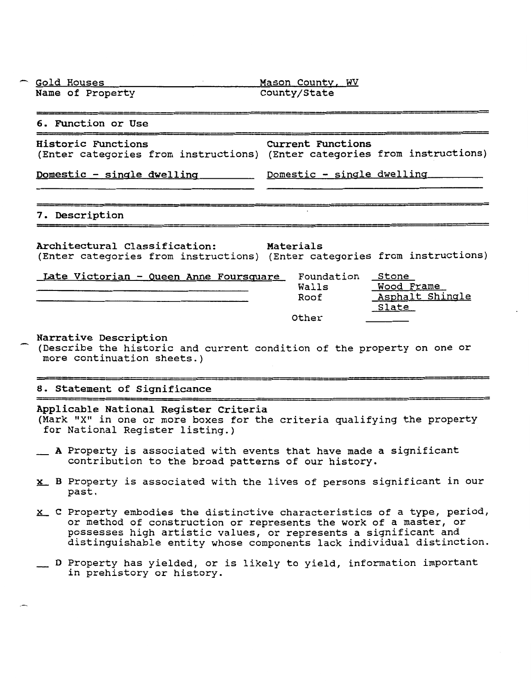| Gold Houses<br>Name of Property                                                                                                                                                                                                                                                         | Mason County, WV<br>County/State                                                               |  |  |
|-----------------------------------------------------------------------------------------------------------------------------------------------------------------------------------------------------------------------------------------------------------------------------------------|------------------------------------------------------------------------------------------------|--|--|
| 6. Function or Use                                                                                                                                                                                                                                                                      |                                                                                                |  |  |
| Historic Functions                                                                                                                                                                                                                                                                      | Current Functions<br>(Enter categories from instructions) (Enter categories from instructions) |  |  |
| Domestic - single dwelling                                                                                                                                                                                                                                                              | Domestic - single dwelling                                                                     |  |  |
| 7. Description                                                                                                                                                                                                                                                                          |                                                                                                |  |  |
| Architectural Classification:                                                                                                                                                                                                                                                           | Materials<br>(Enter categories from instructions) (Enter categories from instructions)         |  |  |
| Late Victorian - Queen Anne Foursquare                                                                                                                                                                                                                                                  | Foundation Stone<br>Wood Frame<br>Walls<br>Asphalt Shingle<br>Roof<br>Slate                    |  |  |
|                                                                                                                                                                                                                                                                                         | Other                                                                                          |  |  |
| Narrative Description<br>(Describe the historic and current condition of the property on one or<br>more continuation sheets.)                                                                                                                                                           |                                                                                                |  |  |
| 8. Statement of Significance                                                                                                                                                                                                                                                            |                                                                                                |  |  |
| Applicable National Register Criteria<br>(Mark "X" in one or more boxes for the criteria qualifying the property<br>for National Register listing.)                                                                                                                                     |                                                                                                |  |  |
| A Property is associated with events that have made a significant<br>contribution to the broad patterns of our history.                                                                                                                                                                 |                                                                                                |  |  |
| X B Property is associated with the lives of persons significant in our<br>past.                                                                                                                                                                                                        |                                                                                                |  |  |
| x C Property embodies the distinctive characteristics of a type, period,<br>or method of construction or represents the work of a master, or<br>possesses high artistic values, or represents a significant and<br>distinguishable entity whose components lack individual distinction. |                                                                                                |  |  |
| D Property has yielded, or is likely to yield, information important<br>in prehistory or history.                                                                                                                                                                                       |                                                                                                |  |  |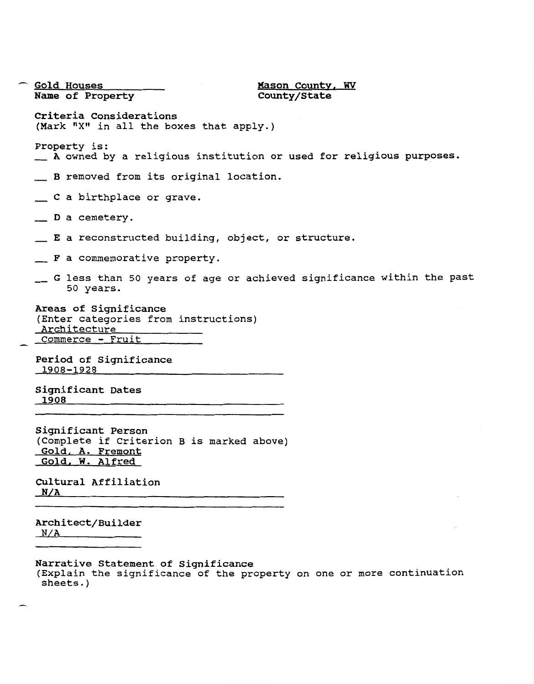| <b>Gold Houses</b><br>Name of Property                                                            | Mason County, WV<br>County/State                                       |
|---------------------------------------------------------------------------------------------------|------------------------------------------------------------------------|
| Criteria Considerations<br>(Mark "X" in all the boxes that apply.)                                |                                                                        |
| Property is:                                                                                      | A owned by a religious institution or used for religious purposes.     |
| _ B removed from its original location.                                                           |                                                                        |
| __ C a birthplace or grave.                                                                       |                                                                        |
| __ D a cemetery.                                                                                  |                                                                        |
|                                                                                                   | _ E a reconstructed building, object, or structure.                    |
| _ F a commemorative property.                                                                     |                                                                        |
| 50 years.                                                                                         | _ G less than 50 years of age or achieved significance within the past |
| Areas of Significance<br>(Enter categories from instructions)<br>Architecture<br>Commerce - Fruit |                                                                        |
| Period of Significance<br>1908-1928                                                               |                                                                        |
| Significant Dates<br>1908                                                                         |                                                                        |
| Significant Person<br>(Complete if Criterion B is marked above)<br>Gold, A. Fremont               |                                                                        |

Gold. W. Alfred

Cultural Affiliation  $N/A$ 

Architect/Builder  $N/A$ 

Narrative Statement of Significance Explain the significance of the property on one or more continuation sheets. )

 $\bar{z}$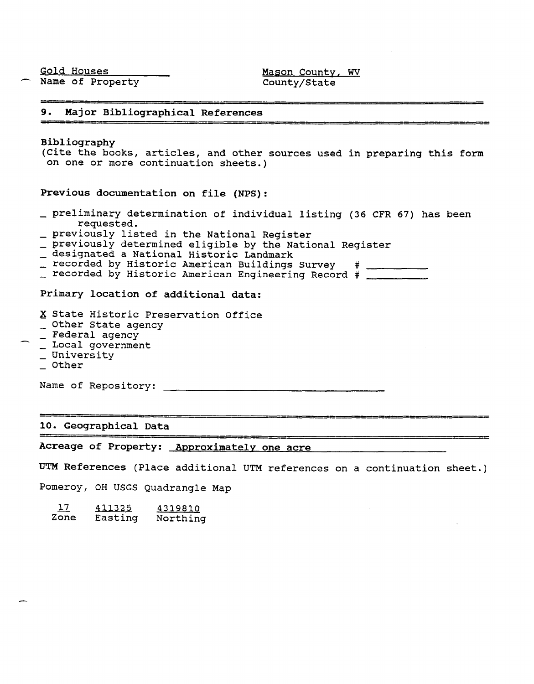Gold Houses<br>Name of Property

Mason County, **WV**  County/State

## 9. Major Bibliographical References

Bibliography (Cite the books, articles, and other sources used in preparing this form on one or more continuation sheets.)

Previous documentation on file (NPS):

- preliminary determination of individual listing (36 CFR 67) has been requested.
- previously listed in the National Register
- $-$  previously determined eligible by the National Register
- designated a National Historic Landmark
- recorded by Historic American Buildings Survey #

- recorded by Historic American Engineering Record #

Primary location of additional data:

- X State Historic Preservation Office
- Other State agency<br>- Federal agency - Other State agency<br>- Federal agency<br>- Local government<br>- University
	-
	-
	- \_ University
	- Other

Name Repository:

10. Geographical Data

Acreage of Property: Approximately one acre

**UTM** References (Place additional UTM references on a continuation sheet.)

Pomeroy, OH USGS Quadrangle Map

|                   |                          | meroy, OH USGS Quadrangle N |  |
|-------------------|--------------------------|-----------------------------|--|
| <u>17</u><br>Zone | <u>411325</u><br>Easting | 4319810<br>Northing         |  |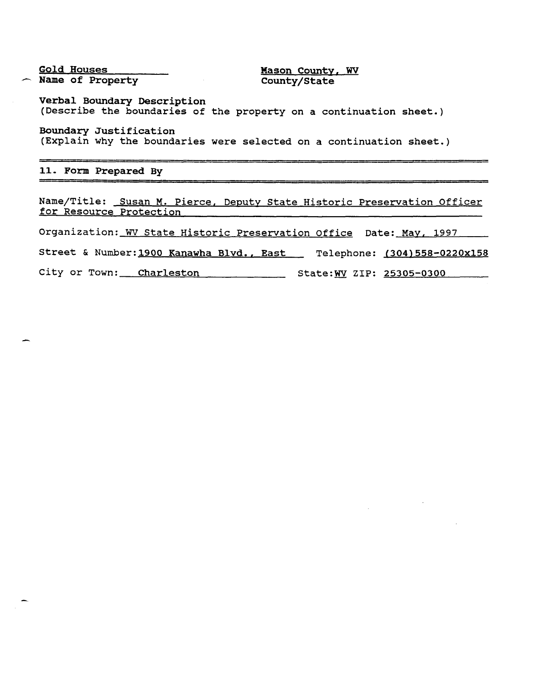**Gold Houses** - **Name of Property** 

**Mason Countv. WV County/State** 

**Verbal Boundary Description (Describe the boundaries of the property on a continuation sheet.)** 

**Boundary Justification (Explain why the boundaries were selected on a continuation sheet.)** 

**11- Form Prepared By** 

Name/Title: Susan M. Pierce, Deputy State Historic Preservation Officer **for Resource Protection** 

**Organization: WV State Historic Preservation Office Date: May, 1997** 

Street & Number: 1900 Kanawha Blvd., East Telephone: (304) 558-0220x158

City or Town: Charleston State: WV ZIP: 25305-0300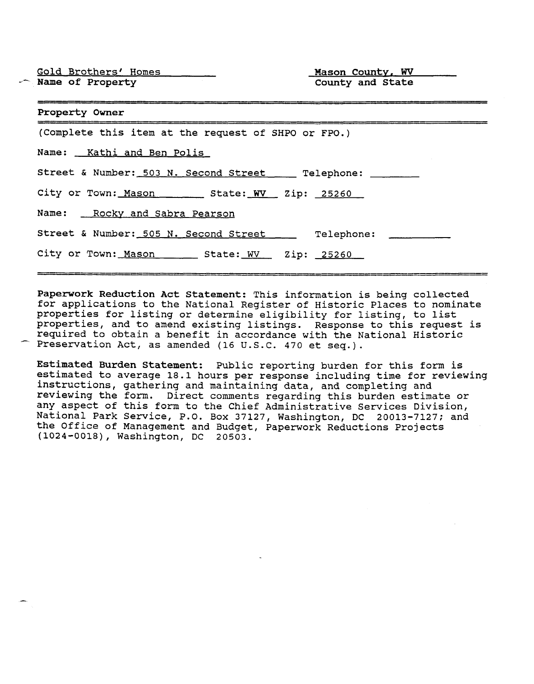Gold Brothers' Homes Name of Property

**Mason County. WV County** and **State** 

| <u>Gold Brothers' Homes</u>                                 | Mason County, WV |  |
|-------------------------------------------------------------|------------------|--|
| Name of Property                                            | County and State |  |
|                                                             |                  |  |
| Property Owner                                              |                  |  |
| (Complete this item at the request of SHPO or FPO.)         |                  |  |
| Name: __ Kathi and Ben Polis_                               |                  |  |
|                                                             |                  |  |
| City or Town: Mason __________ State: WV ___ Zip: _25260 __ |                  |  |
| Name: Rocky and Sabra Pearson                               |                  |  |
| Street & Number: 505 N. Second Street ____ Telephone: _____ |                  |  |
| City or Town: Mason State: WV Zip: 25260                    |                  |  |

**Paperwork Reduction Act** Statement: This information is being collected for applications to the National Register of Historic Places to nominate properties for listing or determine eligibility for listing, to list properties, and to amend existing listings. Response to this request is required to obtain a benefit in accordance with the National Historic Preservation Act, as amended (16 U.S.C. 470 et seq.).

**Estimated Burden Statement:** Public reporting burden for this form is estimated to average 18.1 hours per response including time for reviewing instructions, gathering and maintaining data, and completing and reviewing the form. Direct comments regarding this burden estimate or any aspect of this form to the Chief Administrative Services Division, National Park Service, P.O. Box 37127, Washington, DC 20013-7127; and the Office of Management and Budget, Paperwork Reductions projects (1024-0018), Washington, DC 20503.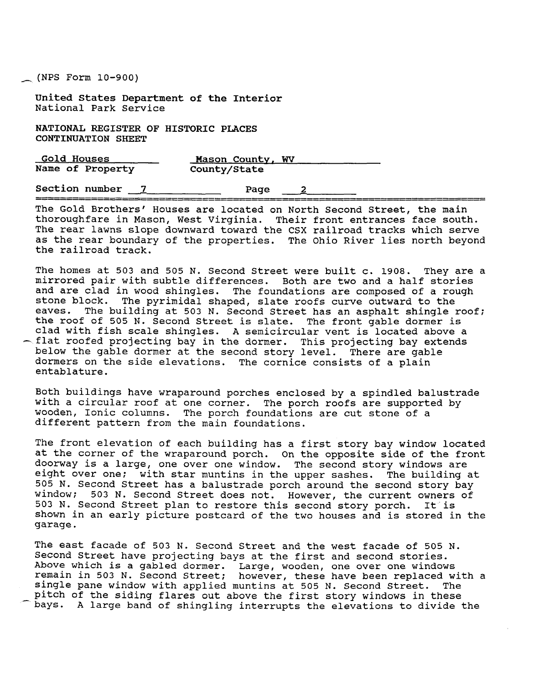$_{-}$  (NPS Form 10-900)

**united States Department of the Interior**  National Park Service

**NATIONAL REGISTER OF HISTORIC PLACES CONTINUATION SHEET** 

| <u>Gold Houses</u>    | <u>Mason County, WV</u> |  |
|-----------------------|-------------------------|--|
| Name of Property      | County/State            |  |
| <b>Section number</b> | Page                    |  |

The Gold Brothers' Houses are located on North Second Street, the main thoroughfare in Mason, West Virginia. Their front entrances face south. The rear lawns slope downward toward the CSX railroad tracks which serve as the rear boundary of the properties. The Ohio River lies north beyond the railroad track.

The homes at 503 and 505 N. Second Street were built c. 1908. They are a mirrored pair with subtle differences. Both are two and a half stories and are clad in wood shingles. The foundations are composed of a rough stone block. The pyrimidal shaped, slate roofs curve outward to the eaves. The building at 503 N. Second Street has an asphalt shingle The building at 503 N. Second Street has an asphalt shingle roof; the roof of 505 N. Second Street is slate. The front gable dormer is clad with fish scale shingles. A semicircular vent is located above a  $\sim$  flat roofed projecting bay in the dormer. This projecting bay extends below the gable dormer at the second story level. There are gable dormers on the side elevations. The cornice consists of a plain entablature.

Both buildings have wraparound porches enclosed by a spindled balustrade with a circular roof at one corner. The porch roofs are supported by wooden, Ionic columns. The porch foundations are cut stone of a The porch foundations are cut stone of a different pattern from the main foundations.

The front elevation of each building has a first story bay window located at the corner of the wraparound porch. On the opposite side of the front doorway is a large, one over one window. The second story windows are eight over one; with star muntins in the upper sashes. The building at 505 N. Second Street has a balustrade porch around the second story bay<br>window; 503 N. Second Street does not. However, the current owners of 503 N. Second Street does not. However, the current owners of 503 N. Second Street plan to restore this second story porch. It'is shown in an early picture postcard of the two houses and is stored in the garage.

The east facade of 503 N. Second Street and the west facade of 505 N. Second Street have projecting bays at the first and second stories. Above which is a gabled dormer. Large, wooden, one over one windows remain in 503 N. Second Street; however, these have been replaced with a single pane window with applied muntins at 505 N. Second Street. The pitch of the siding flares out above the first story windows in these bays. A large band of shingling interrupts the elevations to divide the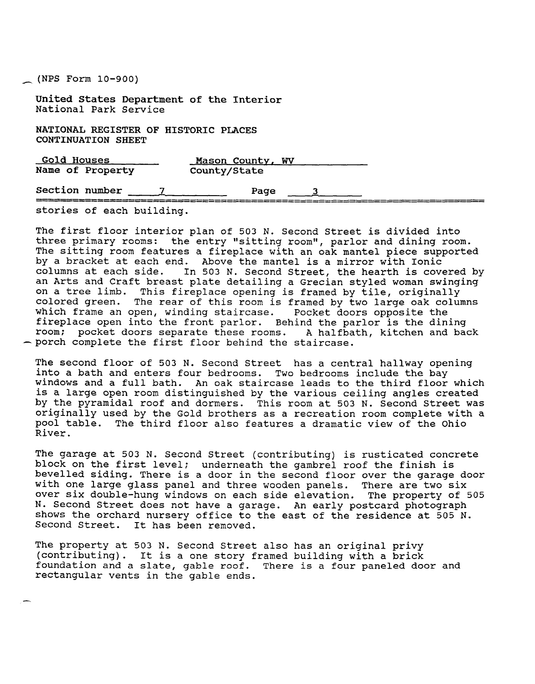$(NPS$  Form  $10-900)$ 

United States Department of the Interior National Park Service

NATIONAL REGISTER OF HISTORIC PLACES CONTINUATION SHEET

| <b>Gold Houses</b> | Mason County, WV |  |
|--------------------|------------------|--|
| Name of Property   | County/State     |  |
|                    |                  |  |
| Section number     | Page             |  |
|                    |                  |  |

stories of each building.

The first floor interior plan of 503 N. Second Street is divided into three primary rooms: the entry "sitting room", parlor and dining room. The sitting room features a fireplace with an oak mantel piece supported by a bracket at each end. Above the mantel is a mirror with Ionic columns at each side. In 503 N. Second Street, the hearth is covered by an Arts and Craft breast plate detailing a Grecian styled woman swinging on a tree limb. This fireplace opening is framed by tile, originally<br>colored green. The rear of this room is framed by two large oak colum The rear of this room is framed by two large oak columns which frame an open, winding staircase. Pocket doors opposite the fireplace open into the front parlor. Behind the parlor is the dining<br>room; pocket doors separate these rooms. A halfbath, kitchen and bao pocket doors separate these rooms. A halfbath, kitchen and back - porch complete the first floor behind the staircase.

The second floor of 503 N. Second Street has a central hallway opening into a bath and enters four bedrooms. Two bedrooms include the bay windows and a full bath. An oak staircase leads to the third floor which is a large open room distinguished by the various ceiling angles created by the pyramidal roof and dormers. This room at 503 N. Second Street was originally used by the Gold brothers as a recreation room complete with a pool table. The third floor also features a dramatic view of the Ohio River.

The garage at 503 N. Second Street (contributing) is rusticated concrete block on the first level; underneath the gambrel roof the finish is bevelled siding. There is a door in the second floor over the garage door with one large glass panel and three wooden panels. There are two six over six double-hung windows on each side elevation. The property of 505 N. Second Street does not have a garage. An early postcard photograph shows the orchard nursery office to the east of the residence at 505 N. Second Street. It has been removed.

The property at 503 N. Second Street also has an original privy (contributing). It is a one story framed building with a brick foundation and a slate, gable roof. There is a four paneled door and rectangular vents in the gable ends.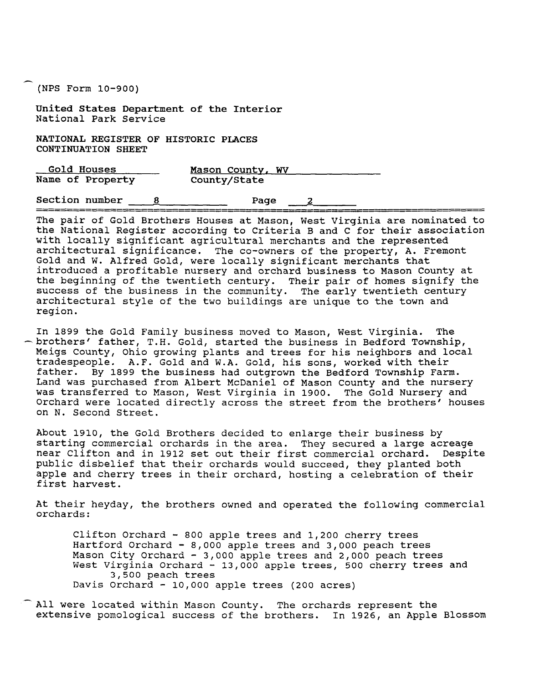(NPS Form 10-900)

 $\overline{\phantom{0}}$ 

United States Department of the Interior National Park Service

NATIONAL REGISTER OF HISTORIC PLACES CONTINUATION SHEET

Gold Houses Mason County, **WV**  Name of Property County/State

Section number 8 Page 2

The pair of Gold Brothers Houses at Mason, West Virginia are nominated to the National Register according to criteria B and C for their association with locally significant agricultural merchants and the represented architectural significance. The co-owners of the property, A. Fremont Gold and W. Alfred Gold, were locally significant merchants that introduced a profitable nursery and orchard business to Mason County at the beginning of the twentieth century. Their pair of homes signify the success of the business in the community. The early twentieth century architectural style of the two buildings are unique to the town and region.

In 1899 the Gold Family business moved to Mason, West Virginia. The  $-$  brothers' father, T.H. Gold, started the business in Bedford Township, Meigs County, Ohio growing plants and trees for his neighbors and local tradespeople. A.F. Gold and W.A. Gold, his sons, worked with their father. By 1899 the business had outgrown the Bedford Township Farm. Land was purchased from Albert McDaniel of Mason County and the nursery was transferred to Mason, West Virginia in 1900. The Gold Nursery and Orchard were located directly across the street from the brothers' houses on N. Second Street.

About 1910, the Gold Brothers decided to enlarge their business by starting commercial orchards in the area. They secured a large acreage near Clifton and in 1912 set out their first commercial orchard. Despite public disbelief that their orchards would succeed, they planted both apple and cherry trees in their orchard, hosting a celebration of their first harvest.

At their heyday, the brothers owned and operated the following commercial orchards :

Clifton Orchard - 800 apple trees and 1,200 cherry trees Hartford Orchard - 8,000 apple trees and 3,000 peach trees Mason City Orchard - 3,000 apple trees and 2,000 peach trees West Virginia Orchard - 13,000 apple trees, 500 cherry trees and 3,500 peach trees Davis Orchard - 10,000 apple trees (200 acres)

Davis Orchard - 10,000 apple trees (200 acres)<br>All were located within Mason County. The orchards represent the extensive pomological success of the brothers. In 1926, an Apple Blossom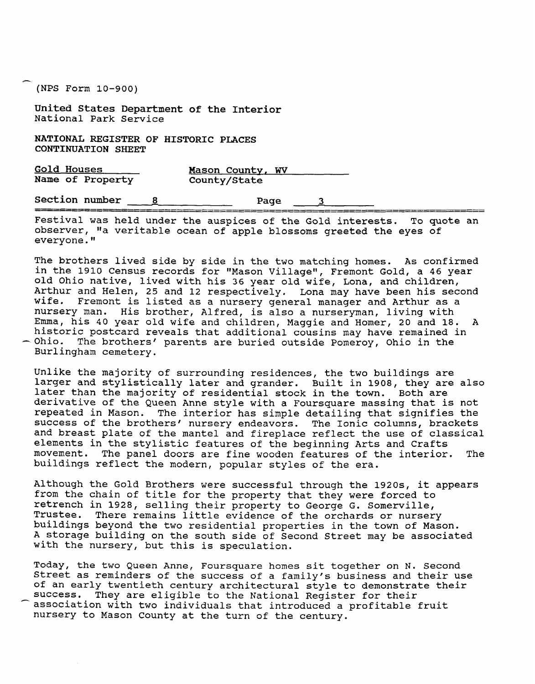- (NPS Form 10-900)

United States Department of the Interior National Park Service

NATIONAL REGISTER OF HISTORIC PLACES CONTINUATION SHEET

| <u>Gold Houses____</u> | <u>Mason County, WV</u> |
|------------------------|-------------------------|
| Name of Property       | <b>County/State</b>     |

Section number <u>8</u> Page  $\frac{3}{2}$ 

Festival was held under the auspices of the Gold interests. To quote an observer, "a veritable ocean of apple blossoms greeted the eyes of everyone.

The brothers lived side by side in the two matching homes. As confirmed in the 1910 Census records for "Mason Village", Fremont Gold, a 46 year old Ohio native, lived with his 36 year old wife, Lona, and children, Arthur and Helen, 25 and 12 respectively. Lona may have been his second<br>wife. Fremont is listed as a nursery general manager and Arthur as a Fremont is listed as a nursery general manager and Arthur as a nursery man. His brother, Alfred, is also a nurseryman, living with Emma, his 40 year old wife and children, Maggie and Homer, 20 and 18. A historic postcard reveals that additional cousins may have remained in  $-$  Ohio. The brothers' parents are buried outside Pomeroy, Ohio in the Burlingham cemetery.

Unlike the majority of surrounding residences, the two buildings are larger and stylistically later and grander. Built in 1908, they are also later than the majority of residential stock in the town. Both are derivative of the Queen Anne style with a Foursquare massing that is not repeated in Mason. The interior has simple detailing that signifies the success of the brothers' nursery endeavors. The Ionic columns, brackets and breast plate of the mantel and fireplace reflect the use of classical elements in the stylistic features of the beginning Arts and Crafts movement. The panel doors are fine wooden features of the interior. The buildings reflect the modern, popular styles of the era.

Although the Gold Brothers were successful through the 1920s, it appears from the chain of title for the property that they were forced to retrench in 1928, selling their property to George G. Somerville, Trustee. There remains little evidence of the orchards or nursery buildings beyond the two residential properties in the town of Mason. A storage building on the south side of Second Street may be associated with the nursery, but this is speculation.

Today, the two Queen Anne, Foursquare homes sit together on **N.** Second Street as reminders of the success of a family's business and their use of an early twentieth century architectural style to demonstrate their<br>success. They are eligible to the National Register for their<br>association with two individuals that introduced a profitable fruit success. They are eligible to the National Register for their<br>association with two individuals that introduced a profitable fruit nursery to Mason County at the turn of the century.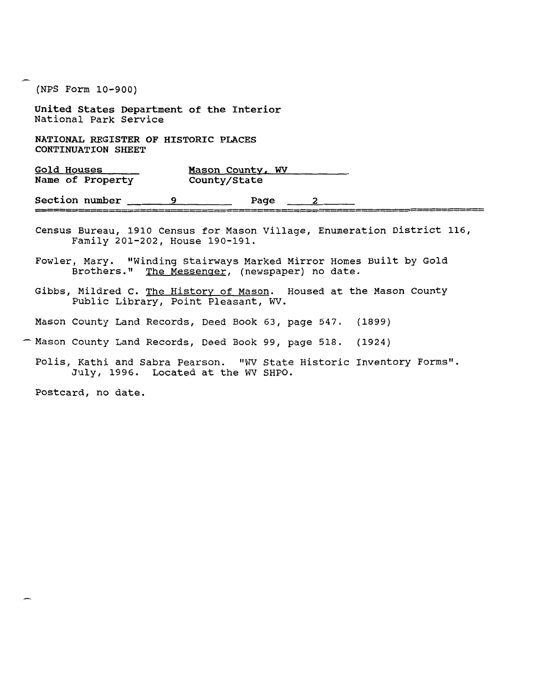(NPS Form 10-900)

*-C* 

**United States Department of the Interior**  National Park Service

**NATIONAL REGISTER OF HISTORIC PLACES CONTINUATION SHEET** 

<u>Mason County, WV</u><br>County/State **<u>Gold Houses</u><br>Name of Property** Section number 9 Page 2

Census Bureau, 1910 Census for Mason Village, Enumeration District 116, Family 201-202, House 190-191.

Fowler, Mary. "Winding Stairways Marked Mirror Homes Built by Gold Brothers." The Messenger, (newspaper) no date.

Gibbs, Mildred C. The History of Mason. Housed at the Mason County Public Library, Point Pleasant, WV.

Mason County Land Records, Deed Book 63, page 547. (1899)

-Mason County Land Records, Deed Book 99, page 518. (1924)

Polis, Kathi and Sabra Pearson. "WV State Historic Inventory Forms". July, 1996. Located at the W SHPO.

Postcard, no date.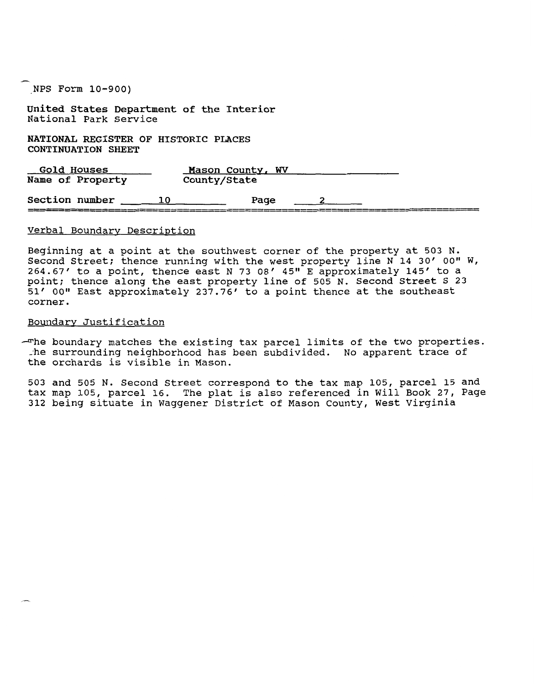$\overline{\phantom{a}}$ **,NPS** Form **10-900)** 

**United States Department of the Interior**  National Park Service

**NATIONAL REGISTER OF HISTORIC PLACES CONTINUATION SHEET** 

| <u>Gold Houses</u> |                  | <u>Mason County, WV</u> |      |  |
|--------------------|------------------|-------------------------|------|--|
|                    | Name of Property | County/State            |      |  |
| Section number     |                  |                         | Page |  |

#### Verbal Boundary Description

Beginning at a point at the southwest corner of the property at **503 N.**  Second Street; thence running with the west property line N **14 30' 00"** W, **264.67'** to a point, thence east N **73 08' 45" E** approximately **145'** to a point; thence along the east property line of **505** N. Second Street S 23 **51'** 0011 East approximately **237.76'** to a point thence at the southeast corner.

### Boundary Justification

-The boundary matches the existing tax parcel limits of the two properties. :he surrounding neighborhood has been subdivided. No apparent trace of the orchards is visible in Mason.

**503** and **505** N. Second Street correspond to the tax map **105,** parcel **15** and tax map **105,** parcel **16.** The plat is also referenced in Will Book 27, Page **312** being situate in Waggener District of Mason County, West Virginia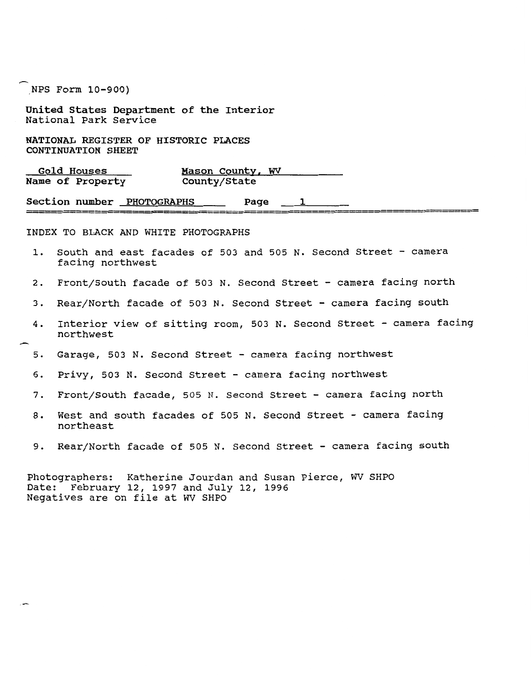NPS Form 10-900)

United States Department of the Interior National Park Service

NATIONAL REGISTER OF HISTORIC PLACES CONTINUATION SHEET

Gold Houses Name of Property Mason Countv. **WV**  County/State

Section number PHOTOGRAPHS Page  $\mathbf 1$ 

INDEX TO BLACK AND WHITE PHOTOGRAPHS

- South and east facades of 503 and 505 N. Second Street camera  $\mathbf 1$ . facing northwest
- Front/South facade of 503 N. Second Street camera facing north  $2.$
- Rear/North facade of 503 N. Second Street camera facing south  $3.$
- Interior view of sitting room, 503 N. Second Street camera facing 4. northwest

- Garage, 503 N. Second Street camera facing northwest  $5.$
- Privy, 503 N. Second Street camera facing northwest 6.
- Front/South facade, 505 N. Second Street camera facing north  $7.$
- West and south facades of 505 N. Second Street camera facing 8. northeast
- Rear/North facade of 505 N. Second Street camera facing south 9.

Photographers: Katherine Jourdan and Susan Pierce, WV SHPO Date: February 12, 1997 and July 12, 1996 Negatives are on file at **WV** SHPO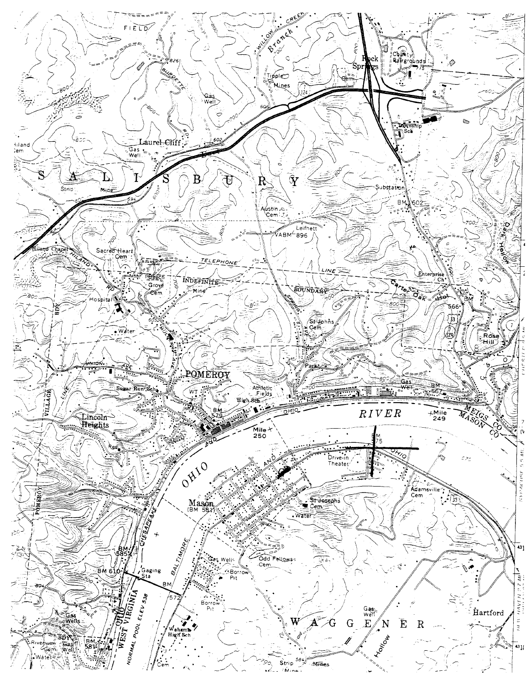